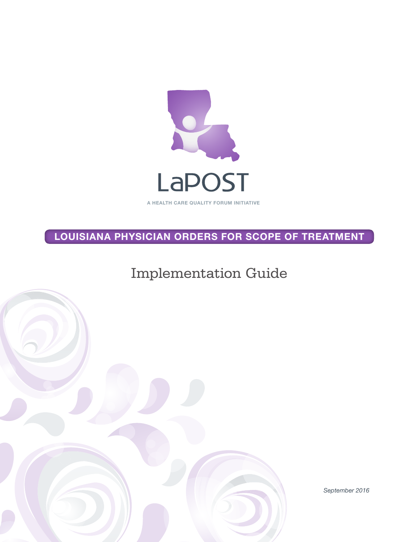

LOUISIANA PHYSICIAN ORDERS FOR SCOPE OF TREATMENT

Implementation Guide



*September 2016*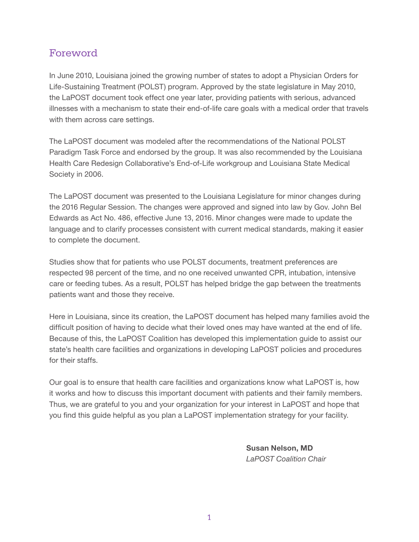### Foreword

In June 2010, Louisiana joined the growing number of states to adopt a Physician Orders for Life-Sustaining Treatment (POLST) program. Approved by the state legislature in May 2010, the LaPOST document took effect one year later, providing patients with serious, advanced illnesses with a mechanism to state their end-of-life care goals with a medical order that travels with them across care settings.

The LaPOST document was modeled after the recommendations of the National POLST Paradigm Task Force and endorsed by the group. It was also recommended by the Louisiana Health Care Redesign Collaborative's End-of-Life workgroup and Louisiana State Medical Society in 2006.

The LaPOST document was presented to the Louisiana Legislature for minor changes during the 2016 Regular Session. The changes were approved and signed into law by Gov. John Bel Edwards as Act No. 486, effective June 13, 2016. Minor changes were made to update the language and to clarify processes consistent with current medical standards, making it easier to complete the document.

Studies show that for patients who use POLST documents, treatment preferences are respected 98 percent of the time, and no one received unwanted CPR, intubation, intensive care or feeding tubes. As a result, POLST has helped bridge the gap between the treatments patients want and those they receive.

Here in Louisiana, since its creation, the LaPOST document has helped many families avoid the difficult position of having to decide what their loved ones may have wanted at the end of life. Because of this, the LaPOST Coalition has developed this implementation guide to assist our state's health care facilities and organizations in developing LaPOST policies and procedures for their staffs.

Our goal is to ensure that health care facilities and organizations know what LaPOST is, how it works and how to discuss this important document with patients and their family members. Thus, we are grateful to you and your organization for your interest in LaPOST and hope that you find this guide helpful as you plan a LaPOST implementation strategy for your facility.

> Susan Nelson, MD *LaPOST Coalition Chair*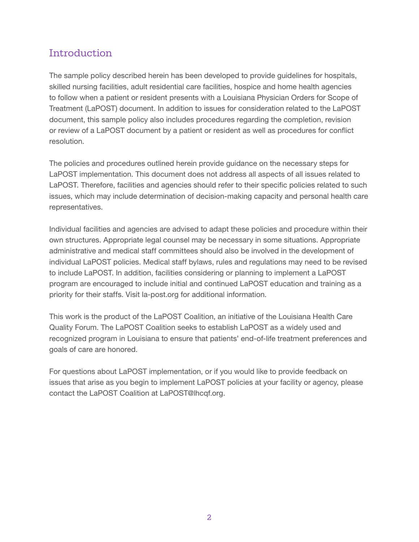### Introduction

The sample policy described herein has been developed to provide guidelines for hospitals, skilled nursing facilities, adult residential care facilities, hospice and home health agencies to follow when a patient or resident presents with a Louisiana Physician Orders for Scope of Treatment (LaPOST) document. In addition to issues for consideration related to the LaPOST document, this sample policy also includes procedures regarding the completion, revision or review of a LaPOST document by a patient or resident as well as procedures for conflict resolution.

The policies and procedures outlined herein provide guidance on the necessary steps for LaPOST implementation. This document does not address all aspects of all issues related to LaPOST. Therefore, facilities and agencies should refer to their specific policies related to such issues, which may include determination of decision-making capacity and personal health care representatives.

Individual facilities and agencies are advised to adapt these policies and procedure within their own structures. Appropriate legal counsel may be necessary in some situations. Appropriate administrative and medical staff committees should also be involved in the development of individual LaPOST policies. Medical staff bylaws, rules and regulations may need to be revised to include LaPOST. In addition, facilities considering or planning to implement a LaPOST program are encouraged to include initial and continued LaPOST education and training as a priority for their staffs. Visit la-post.org for additional information.

This work is the product of the LaPOST Coalition, an initiative of the Louisiana Health Care Quality Forum. The LaPOST Coalition seeks to establish LaPOST as a widely used and recognized program in Louisiana to ensure that patients' end-of-life treatment preferences and goals of care are honored.

For questions about LaPOST implementation, or if you would like to provide feedback on issues that arise as you begin to implement LaPOST policies at your facility or agency, please contact the LaPOST Coalition at LaPOST@lhcqf.org.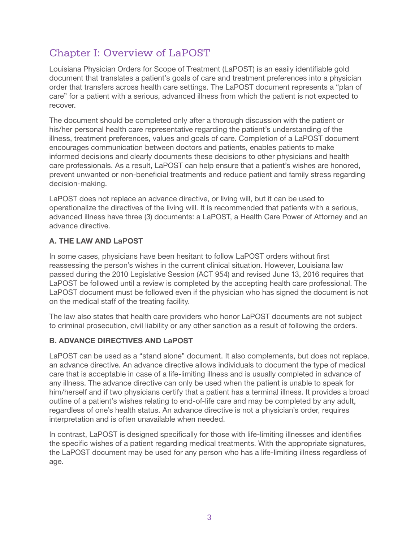# Chapter I: Overview of LaPOST

Louisiana Physician Orders for Scope of Treatment (LaPOST) is an easily identifiable gold document that translates a patient's goals of care and treatment preferences into a physician order that transfers across health care settings. The LaPOST document represents a "plan of care" for a patient with a serious, advanced illness from which the patient is not expected to recover.

The document should be completed only after a thorough discussion with the patient or his/her personal health care representative regarding the patient's understanding of the illness, treatment preferences, values and goals of care. Completion of a LaPOST document encourages communication between doctors and patients, enables patients to make informed decisions and clearly documents these decisions to other physicians and health care professionals. As a result, LaPOST can help ensure that a patient's wishes are honored, prevent unwanted or non-beneficial treatments and reduce patient and family stress regarding decision-making.

LaPOST does not replace an advance directive, or living will, but it can be used to operationalize the directives of the living will. It is recommended that patients with a serious, advanced illness have three (3) documents: a LaPOST, a Health Care Power of Attorney and an advance directive.

#### A. THE LAW AND LaPOST

In some cases, physicians have been hesitant to follow LaPOST orders without first reassessing the person's wishes in the current clinical situation. However, Louisiana law passed during the 2010 Legislative Session (ACT 954) and revised June 13, 2016 requires that LaPOST be followed until a review is completed by the accepting health care professional. The LaPOST document must be followed even if the physician who has signed the document is not on the medical staff of the treating facility.

The law also states that health care providers who honor LaPOST documents are not subject to criminal prosecution, civil liability or any other sanction as a result of following the orders.

#### B. ADVANCE DIRECTIVES AND LaPOST

LaPOST can be used as a "stand alone" document. It also complements, but does not replace, an advance directive. An advance directive allows individuals to document the type of medical care that is acceptable in case of a life-limiting illness and is usually completed in advance of any illness. The advance directive can only be used when the patient is unable to speak for him/herself and if two physicians certify that a patient has a terminal illness. It provides a broad outline of a patient's wishes relating to end-of-life care and may be completed by any adult, regardless of one's health status. An advance directive is not a physician's order, requires interpretation and is often unavailable when needed.

In contrast, LaPOST is designed specifically for those with life-limiting illnesses and identifies the specific wishes of a patient regarding medical treatments. With the appropriate signatures, the LaPOST document may be used for any person who has a life-limiting illness regardless of age.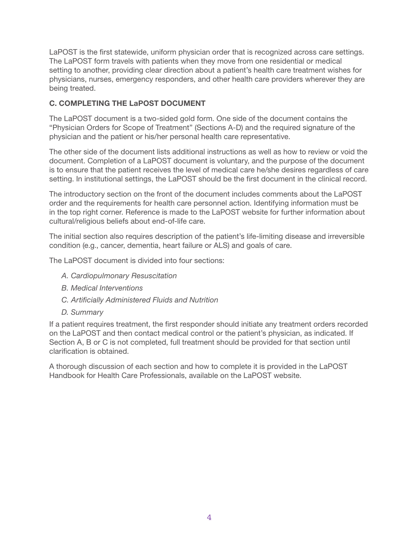LaPOST is the first statewide, uniform physician order that is recognized across care settings. The LaPOST form travels with patients when they move from one residential or medical setting to another, providing clear direction about a patient's health care treatment wishes for physicians, nurses, emergency responders, and other health care providers wherever they are being treated.

#### C. COMPLETING THE LaPOST DOCUMENT

The LaPOST document is a two-sided gold form. One side of the document contains the "Physician Orders for Scope of Treatment" (Sections A-D) and the required signature of the physician and the patient or his/her personal health care representative.

The other side of the document lists additional instructions as well as how to review or void the document. Completion of a LaPOST document is voluntary, and the purpose of the document is to ensure that the patient receives the level of medical care he/she desires regardless of care setting. In institutional settings, the LaPOST should be the first document in the clinical record.

The introductory section on the front of the document includes comments about the LaPOST order and the requirements for health care personnel action. Identifying information must be in the top right corner. Reference is made to the LaPOST website for further information about cultural/religious beliefs about end-of-life care.

The initial section also requires description of the patient's life-limiting disease and irreversible condition (e.g., cancer, dementia, heart failure or ALS) and goals of care.

The LaPOST document is divided into four sections:

- *A. Cardiopulmonary Resuscitation*
- *B. Medical Interventions*
- *C. Artificially Administered Fluids and Nutrition*
- *D. Summary*

If a patient requires treatment, the first responder should initiate any treatment orders recorded on the LaPOST and then contact medical control or the patient's physician, as indicated. If Section A, B or C is not completed, full treatment should be provided for that section until clarification is obtained.

A thorough discussion of each section and how to complete it is provided in the LaPOST Handbook for Health Care Professionals, available on the LaPOST website.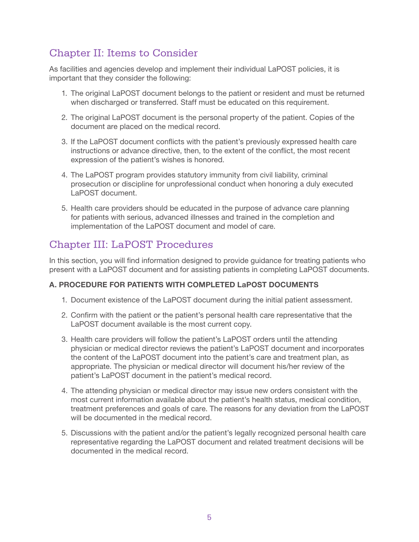### Chapter II: Items to Consider

As facilities and agencies develop and implement their individual LaPOST policies, it is important that they consider the following:

- 1. The original LaPOST document belongs to the patient or resident and must be returned when discharged or transferred. Staff must be educated on this requirement.
- 2. The original LaPOST document is the personal property of the patient. Copies of the document are placed on the medical record.
- 3. If the LaPOST document conflicts with the patient's previously expressed health care instructions or advance directive, then, to the extent of the conflict, the most recent expression of the patient's wishes is honored.
- 4. The LaPOST program provides statutory immunity from civil liability, criminal prosecution or discipline for unprofessional conduct when honoring a duly executed LaPOST document.
- 5. Health care providers should be educated in the purpose of advance care planning for patients with serious, advanced illnesses and trained in the completion and implementation of the LaPOST document and model of care.

### Chapter III: LaPOST Procedures

In this section, you will find information designed to provide guidance for treating patients who present with a LaPOST document and for assisting patients in completing LaPOST documents.

#### A. PROCEDURE FOR PATIENTS WITH COMPLETED LaPOST DOCUMENTS

- 1. Document existence of the LaPOST document during the initial patient assessment.
- 2. Confirm with the patient or the patient's personal health care representative that the LaPOST document available is the most current copy.
- 3. Health care providers will follow the patient's LaPOST orders until the attending physician or medical director reviews the patient's LaPOST document and incorporates the content of the LaPOST document into the patient's care and treatment plan, as appropriate. The physician or medical director will document his/her review of the patient's LaPOST document in the patient's medical record.
- 4. The attending physician or medical director may issue new orders consistent with the most current information available about the patient's health status, medical condition, treatment preferences and goals of care. The reasons for any deviation from the LaPOST will be documented in the medical record.
- 5. Discussions with the patient and/or the patient's legally recognized personal health care representative regarding the LaPOST document and related treatment decisions will be documented in the medical record.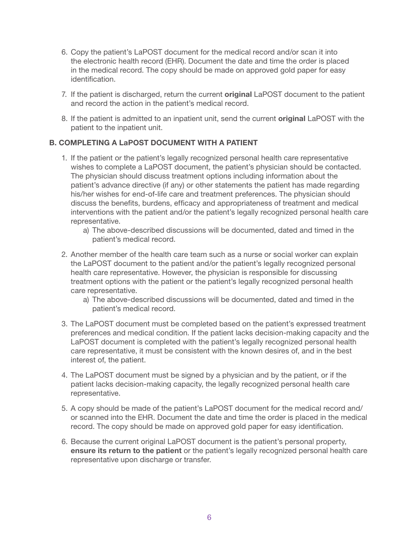- 6. Copy the patient's LaPOST document for the medical record and/or scan it into the electronic health record (EHR). Document the date and time the order is placed in the medical record. The copy should be made on approved gold paper for easy identification.
- 7. If the patient is discharged, return the current **original** LaPOST document to the patient and record the action in the patient's medical record.
- 8. If the patient is admitted to an inpatient unit, send the current **original** LaPOST with the patient to the inpatient unit.

#### B. COMPLETING A LaPOST DOCUMENT WITH A PATIENT

- 1. If the patient or the patient's legally recognized personal health care representative wishes to complete a LaPOST document, the patient's physician should be contacted. The physician should discuss treatment options including information about the patient's advance directive (if any) or other statements the patient has made regarding his/her wishes for end-of-life care and treatment preferences. The physician should discuss the benefits, burdens, efficacy and appropriateness of treatment and medical interventions with the patient and/or the patient's legally recognized personal health care representative.
	- a) The above-described discussions will be documented, dated and timed in the patient's medical record.
- 2. Another member of the health care team such as a nurse or social worker can explain the LaPOST document to the patient and/or the patient's legally recognized personal health care representative. However, the physician is responsible for discussing treatment options with the patient or the patient's legally recognized personal health care representative.
	- a) The above-described discussions will be documented, dated and timed in the patient's medical record.
- 3. The LaPOST document must be completed based on the patient's expressed treatment preferences and medical condition. If the patient lacks decision-making capacity and the LaPOST document is completed with the patient's legally recognized personal health care representative, it must be consistent with the known desires of, and in the best interest of, the patient.
- 4. The LaPOST document must be signed by a physician and by the patient, or if the patient lacks decision-making capacity, the legally recognized personal health care representative.
- 5. A copy should be made of the patient's LaPOST document for the medical record and/ or scanned into the EHR. Document the date and time the order is placed in the medical record. The copy should be made on approved gold paper for easy identification.
- 6. Because the current original LaPOST document is the patient's personal property, ensure its return to the patient or the patient's legally recognized personal health care representative upon discharge or transfer.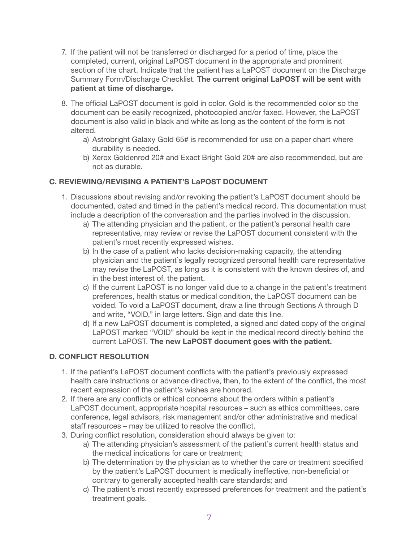- 7. If the patient will not be transferred or discharged for a period of time, place the completed, current, original LaPOST document in the appropriate and prominent section of the chart. Indicate that the patient has a LaPOST document on the Discharge Summary Form/Discharge Checklist. The current original LaPOST will be sent with patient at time of discharge.
- 8. The official LaPOST document is gold in color. Gold is the recommended color so the document can be easily recognized, photocopied and/or faxed. However, the LaPOST document is also valid in black and white as long as the content of the form is not altered.
	- a) Astrobright Galaxy Gold 65# is recommended for use on a paper chart where durability is needed.
	- b) Xerox Goldenrod 20# and Exact Bright Gold 20# are also recommended, but are not as durable.

#### C. REVIEWING/REVISING A PATIENT'S LaPOST DOCUMENT

- 1. Discussions about revising and/or revoking the patient's LaPOST document should be documented, dated and timed in the patient's medical record. This documentation must include a description of the conversation and the parties involved in the discussion.
	- a) The attending physician and the patient, or the patient's personal health care representative, may review or revise the LaPOST document consistent with the patient's most recently expressed wishes.
	- b) In the case of a patient who lacks decision-making capacity, the attending physician and the patient's legally recognized personal health care representative may revise the LaPOST, as long as it is consistent with the known desires of, and in the best interest of, the patient.
	- c) If the current LaPOST is no longer valid due to a change in the patient's treatment preferences, health status or medical condition, the LaPOST document can be voided. To void a LaPOST document, draw a line through Sections A through D and write, "VOID," in large letters. Sign and date this line.
	- d) If a new LaPOST document is completed, a signed and dated copy of the original LaPOST marked "VOID" should be kept in the medical record directly behind the current LaPOST. The new LaPOST document goes with the patient.

#### D. CONFLICT RESOLUTION

- 1. If the patient's LaPOST document conflicts with the patient's previously expressed health care instructions or advance directive, then, to the extent of the conflict, the most recent expression of the patient's wishes are honored.
- 2. If there are any conflicts or ethical concerns about the orders within a patient's LaPOST document, appropriate hospital resources – such as ethics committees, care conference, legal advisors, risk management and/or other administrative and medical staff resources – may be utilized to resolve the conflict.
- 3. During conflict resolution, consideration should always be given to:
	- a) The attending physician's assessment of the patient's current health status and the medical indications for care or treatment;
	- b) The determination by the physician as to whether the care or treatment specified by the patient's LaPOST document is medically ineffective, non-beneficial or contrary to generally accepted health care standards; and
	- c) The patient's most recently expressed preferences for treatment and the patient's treatment goals.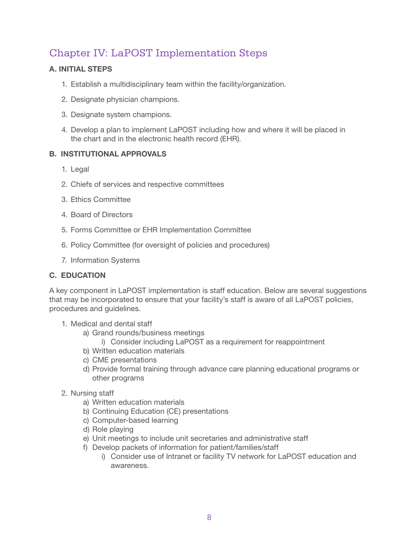## Chapter IV: LaPOST Implementation Steps

#### A. INITIAL STEPS

- 1. Establish a multidisciplinary team within the facility/organization.
- 2. Designate physician champions.
- 3. Designate system champions.
- 4. Develop a plan to implement LaPOST including how and where it will be placed in the chart and in the electronic health record (EHR).

#### B. INSTITUTIONAL APPROVALS

- 1. Legal
- 2. Chiefs of services and respective committees
- 3. Ethics Committee
- 4. Board of Directors
- 5. Forms Committee or EHR Implementation Committee
- 6. Policy Committee (for oversight of policies and procedures)
- 7. Information Systems

#### C. EDUCATION

A key component in LaPOST implementation is staff education. Below are several suggestions that may be incorporated to ensure that your facility's staff is aware of all LaPOST policies, procedures and guidelines.

- 1. Medical and dental staff
	- a) Grand rounds/business meetings
		- i) Consider including LaPOST as a requirement for reappointment
	- b) Written education materials
	- c) CME presentations
	- d) Provide formal training through advance care planning educational programs or other programs
- 2. Nursing staff
	- a) Written education materials
	- b) Continuing Education (CE) presentations
	- c) Computer-based learning
	- d) Role playing
	- e) Unit meetings to include unit secretaries and administrative staff
	- f) Develop packets of information for patient/families/staff
		- i) Consider use of Intranet or facility TV network for LaPOST education and awareness.